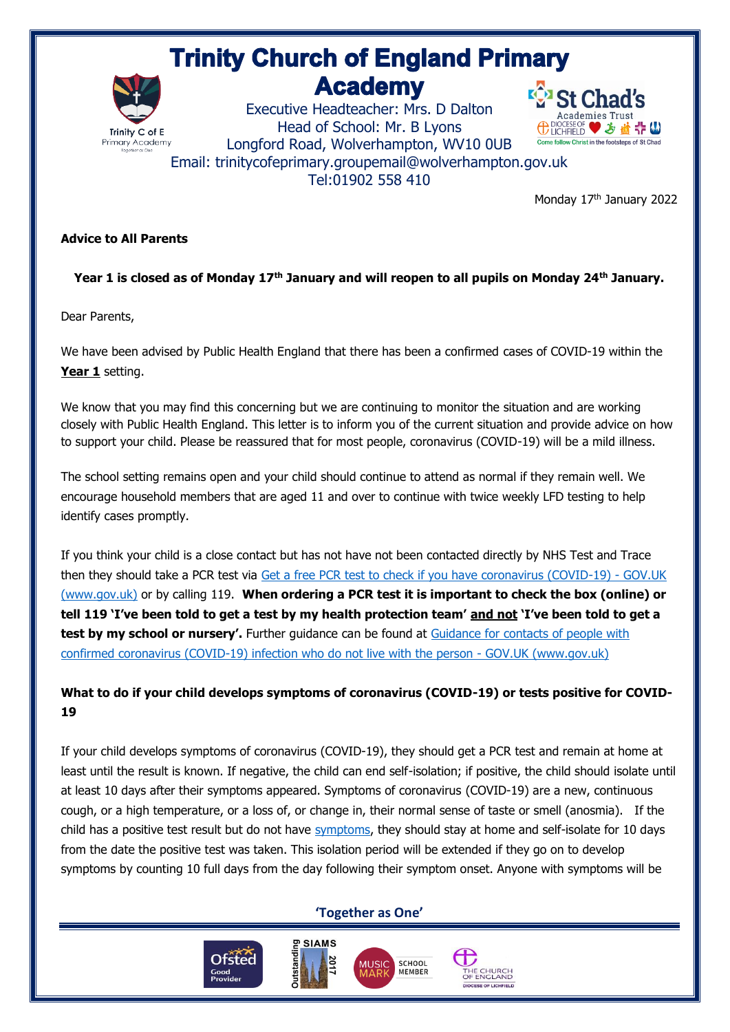# **Trinity Church of England Primary Academy**



Executive Headteacher: Mrs. D Dalton Head of School: Mr. B Lyons Longford Road, Wolverhampton, WV10 0UB Email: trinitycofeprimary.groupemail@wolverhampton.gov.uk [Tel:01902 558 410](tel:01691) 



Monday 17<sup>th</sup> January 2022

#### **Advice to All Parents**

### **Year 1 is closed as of Monday 17th January and will reopen to all pupils on Monday 24th January.**

Dear Parents,

We have been advised by Public Health England that there has been a confirmed cases of COVID-19 within the Year 1 setting.

We know that you may find this concerning but we are continuing to monitor the situation and are working closely with Public Health England. This letter is to inform you of the current situation and provide advice on how to support your child. Please be reassured that for most people, coronavirus (COVID-19) will be a mild illness.

The school setting remains open and your child should continue to attend as normal if they remain well. We encourage household members that are aged 11 and over to continue with twice weekly LFD testing to help identify cases promptly.

If you think your child is a close contact but has not have not been contacted directly by NHS Test and Trace then they should take a PCR test via [Get a free PCR test to check if you have coronavirus \(COVID-19\) -](https://www.gov.uk/get-coronavirus-test) GOV.UK [\(www.gov.uk\)](https://www.gov.uk/get-coronavirus-test) or by calling 119. **When ordering a PCR test it is important to check the box (online) or tell 119 'I've been told to get a test by my health protection team' and not 'I've been told to get a**  test by my school or nursery'. Further guidance can be found at Guidance for contacts of people with [confirmed coronavirus \(COVID-19\) infection who do not live with the person -](https://www.gov.uk/government/publications/guidance-for-contacts-of-people-with-possible-or-confirmed-coronavirus-covid-19-infection-who-do-not-live-with-the-person/guidance-for-contacts-of-people-with-possible-or-confirmed-coronavirus-covid-19-infection-who-do-not-live-with-the-person#i-think-i-have-had-contact-with-someone-who-has-tested-positive-for-covid-19-but-i-have-not-been-notified-and-advised-to-self-isolate-what-should-i-do) GOV.UK (www.gov.uk)

## **What to do if your child develops symptoms of coronavirus (COVID-19) or tests positive for COVID-19**

If your child develops symptoms of coronavirus (COVID-19), they should get a PCR test and remain at home at least until the result is known. If negative, the child can end self-isolation; if positive, the child should isolate until at least 10 days after their symptoms appeared. Symptoms of coronavirus (COVID-19) are a new, continuous cough, or a high temperature, or a loss of, or change in, their normal sense of taste or smell (anosmia). If the child has a positive test result but do not have [symptoms,](https://www.gov.uk/government/publications/covid-19-stay-at-home-guidance/stay-at-home-guidance-for-households-with-possible-coronavirus-covid-19-infection#symptoms) they should stay at home and self-isolate for 10 days from the date the positive test was taken. This isolation period will be extended if they go on to develop symptoms by counting 10 full days from the day following their symptom onset. Anyone with symptoms will be

### **'Together as One'**

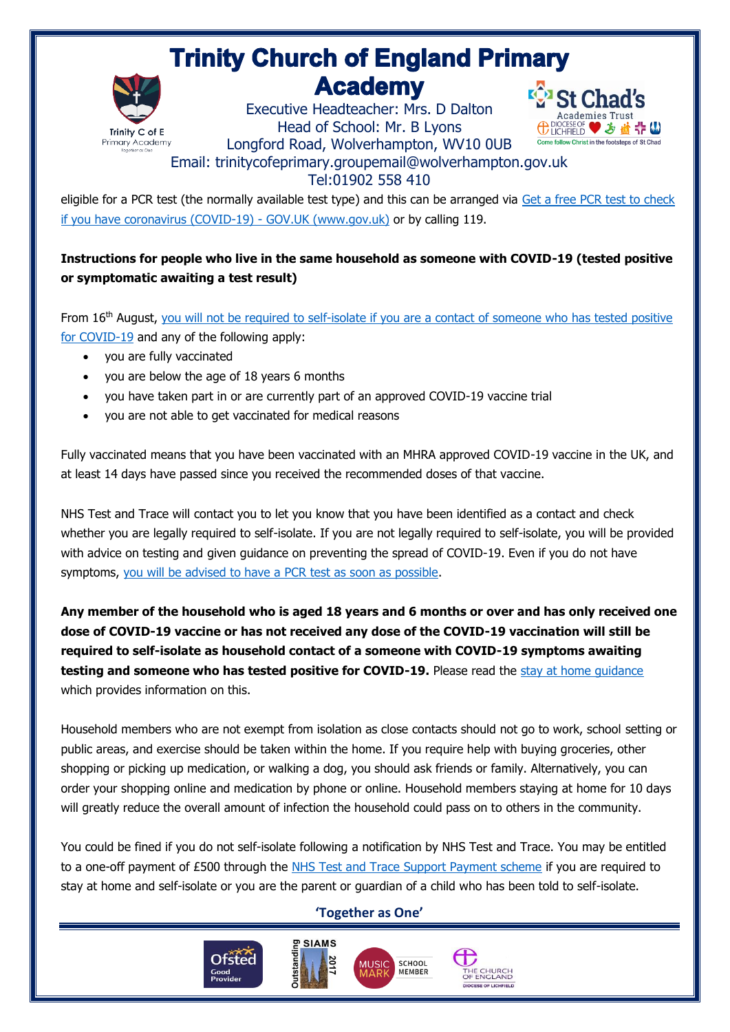# **Trinity Church of England Primary Academy**



Executive Headteacher: Mrs. D Dalton Head of School: Mr. B Lyons Longford Road, Wolverhampton, WV10 0UB



Email: trinitycofeprimary.groupemail@wolverhampton.gov.uk

## [Tel:01902 558 410](tel:01691)

eligible for a PCR test (the normally available test type) and this can be arranged via [Get a free PCR test to check](https://www.gov.uk/get-coronavirus-test)  [if you have coronavirus \(COVID-19\) -](https://www.gov.uk/get-coronavirus-test) GOV.UK (www.gov.uk) or by calling 119.

## **Instructions for people who live in the same household as someone with COVID-19 (tested positive or symptomatic awaiting a test result)**

From 16<sup>th</sup> August, you will not be required to self-isolate if you are a contact of someone who has tested positive [for COVID-19](https://www.gov.uk/government/publications/covid-19-stay-at-home-guidance/stay-at-home-guidance-for-households-with-possible-coronavirus-covid-19-infection#exempt) and any of the following apply:

- you are fully vaccinated
- you are below the age of 18 years 6 months
- you have taken part in or are currently part of an approved COVID-19 vaccine trial
- you are not able to get vaccinated for medical reasons

Fully vaccinated means that you have been vaccinated with an MHRA approved COVID-19 vaccine in the UK, and at least 14 days have passed since you received the recommended doses of that vaccine.

NHS Test and Trace will contact you to let you know that you have been identified as a contact and check whether you are legally required to self-isolate. If you are not legally required to self-isolate, you will be provided with advice on testing and given guidance on preventing the spread of COVID-19. Even if you do not have symptoms, [you will be advised to have a](https://www.gov.uk/government/publications/covid-19-stay-at-home-guidance/stay-at-home-guidance-for-households-with-possible-coronavirus-covid-19-infection#PCR) PCR test as soon as possible.

**Any member of the household who is aged 18 years and 6 months or over and has only received one dose of COVID-19 vaccine or has not received any dose of the COVID-19 vaccination will still be required to self-isolate as household contact of a someone with COVID-19 symptoms awaiting testing and someone who has tested positive for COVID-19.** Please read the [stay at home guidance](https://www.gov.uk/government/publications/covid-19-stay-at-home-guidance) which provides information on this.

Household members who are not exempt from isolation as close contacts should not go to work, school setting or public areas, and exercise should be taken within the home. If you require help with buying groceries, other shopping or picking up medication, or walking a dog, you should ask friends or family. Alternatively, you can order your shopping online and medication by phone or online. Household members staying at home for 10 days will greatly reduce the overall amount of infection the household could pass on to others in the community.

You could be fined if you do not self-isolate following a notification by NHS Test and Trace. You may be entitled to a one-off payment of £500 through the [NHS Test and Trace Support Payment scheme](https://www.gov.uk/government/publications/test-and-trace-support-payment-scheme-claiming-financial-support/claiming-financial-support-under-the-test-and-trace-support-payment-scheme) if you are required to stay at home and self-isolate or you are the parent or guardian of a child who has been told to self-isolate.

## **'Together as One'**

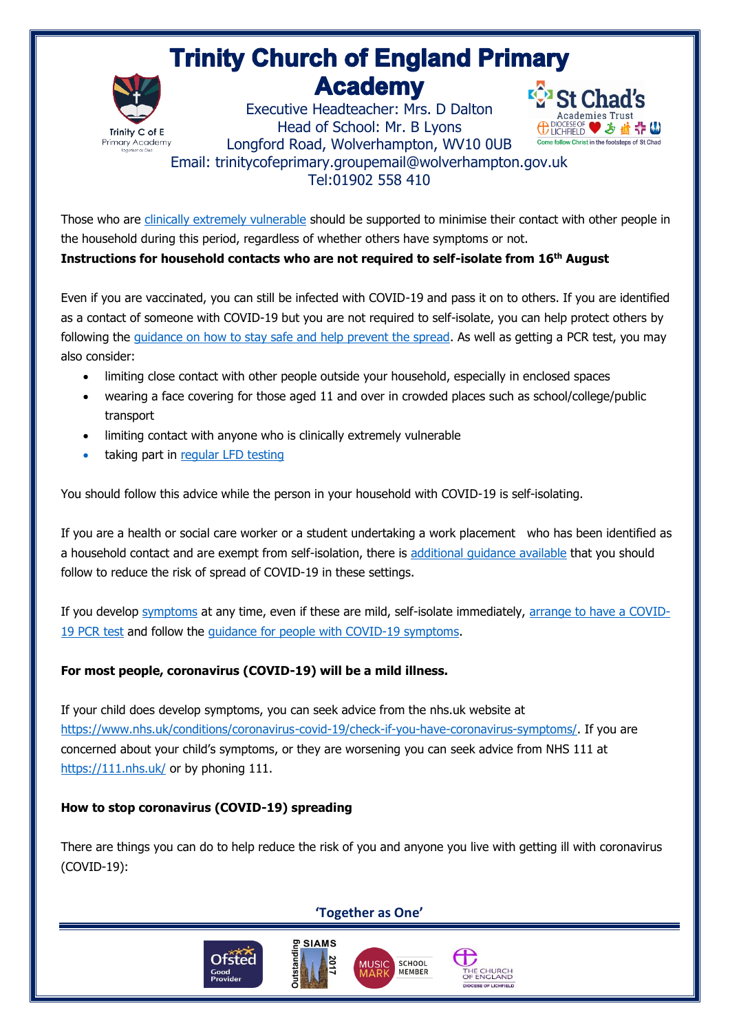# **Trinity Church of England Primary Academy**



**E**<sup>2</sup><sub>2</sub> St Cha Executive Headteacher: Mrs. D Dalton Head of School: Mr. B Lyons **⊕DIOCESE OF ♥ ゟ 益 ☆ (い** Longford Road, Wolverhampton, WV10 0UB Come follow Christ in the footsteps of St Chad Email: trinitycofeprimary.groupemail@wolverhampton.gov.uk [Tel:01902 558 410](tel:01691) 

Those who are [clinically extremely vulnerable](https://www.gov.uk/government/publications/guidance-on-shielding-and-protecting-extremely-vulnerable-persons-from-covid-19/guidance-on-shielding-and-protecting-extremely-vulnerable-persons-from-covid-19) should be supported to minimise their contact with other people in the household during this period, regardless of whether others have symptoms or not.

**Instructions for household contacts who are not required to self-isolate from 16th August**

Even if you are vaccinated, you can still be infected with COVID-19 and pass it on to others. If you are identified as a contact of someone with COVID-19 but you are not required to self-isolate, you can help protect others by following the [guidance on how to stay safe and help prevent the spread.](https://www.gov.uk/guidance/covid-19-coronavirus-restrictions-what-you-can-and-cannot-do#keeping-yourself-and-others-safe) As well as getting a PCR test, you may also consider:

- limiting close contact with other people outside your household, especially in enclosed spaces
- wearing a face covering for those aged 11 and over in crowded places such as school/college/public transport
- limiting contact with anyone who is clinically extremely vulnerable
- taking part in [regular](https://www.gov.uk/order-coronavirus-rapid-lateral-flow-tests) LFD testing

You should follow this advice while the person in your household with COVID-19 is self-isolating.

If you are a health or social care worker or a student undertaking a work placement who has been identified as a household contact and are exempt from self-isolation, there is [additional guidance available](https://www.gov.uk/government/publications/covid-19-management-of-exposed-healthcare-workers-and-patients-in-hospital-settings/covid-19-management-of-exposed-healthcare-workers-and-patients-in-hospital-settings) that you should follow to reduce the risk of spread of COVID-19 in these settings.

If you develop [symptoms](https://www.gov.uk/government/publications/covid-19-stay-at-home-guidance/stay-at-home-guidance-for-households-with-possible-coronavirus-covid-19-infection#symptoms) at any time, even if these are mild, self-isolate immediately, [arrange to have a COVID-](https://www.gov.uk/get-coronavirus-test)19 [PCR](https://www.gov.uk/get-coronavirus-test) test and follow the [guidance for people with COVID-19 symptoms.](https://www.gov.uk/government/publications/covid-19-stay-at-home-guidance/stay-at-home-guidance-for-households-with-possible-coronavirus-covid-19-infection#SymptomsPositiveTest)

### **For most people, coronavirus (COVID-19) will be a mild illness.**

If your child does develop symptoms, you can seek advice from the nhs.uk website at [https://www.nhs.uk/conditions/coronavirus-covid-19/check-if-you-have-coronavirus-symptoms/.](https://www.nhs.uk/conditions/coronavirus-covid-19/check-if-you-have-coronavirus-symptoms/) If you are concerned about your child's symptoms, or they are worsening you can seek advice from NHS 111 at <https://111.nhs.uk/> or by phoning 111.

### **How to stop coronavirus (COVID-19) spreading**

There are things you can do to help reduce the risk of you and anyone you live with getting ill with coronavirus (COVID-19):

**'Together as One'**